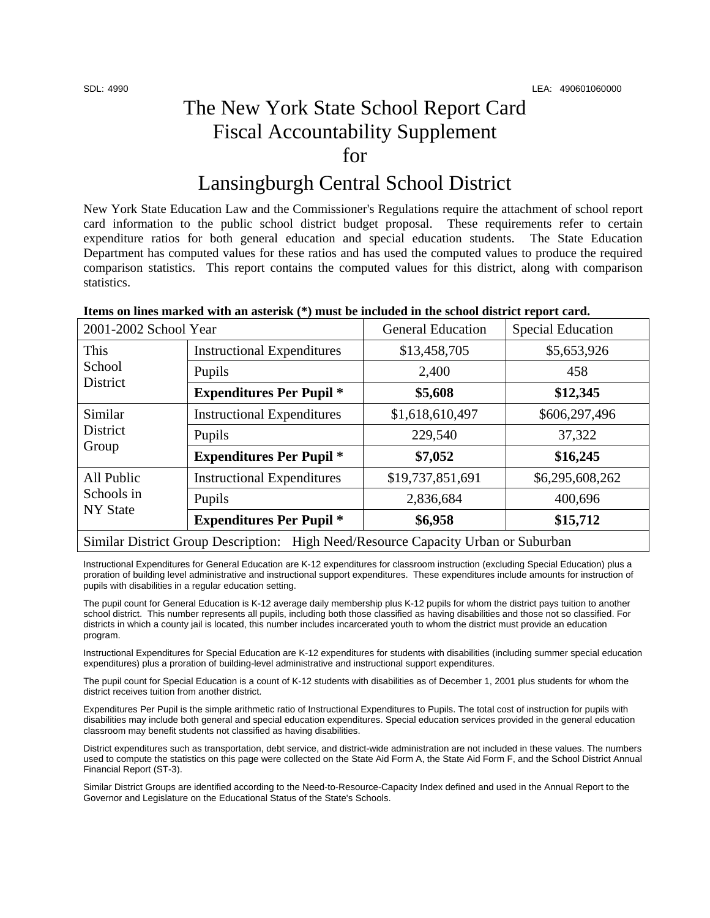# The New York State School Report Card Fiscal Accountability Supplement for

## Lansingburgh Central School District

New York State Education Law and the Commissioner's Regulations require the attachment of school report card information to the public school district budget proposal. These requirements refer to certain expenditure ratios for both general education and special education students. The State Education Department has computed values for these ratios and has used the computed values to produce the required comparison statistics. This report contains the computed values for this district, along with comparison statistics.

| 2001-2002 School Year                                                                       |                                   | <b>General Education</b> | <b>Special Education</b> |  |
|---------------------------------------------------------------------------------------------|-----------------------------------|--------------------------|--------------------------|--|
| This<br>School<br><b>District</b>                                                           | <b>Instructional Expenditures</b> | \$13,458,705             | \$5,653,926              |  |
|                                                                                             | Pupils                            | 2,400                    | 458                      |  |
|                                                                                             | <b>Expenditures Per Pupil *</b>   | \$5,608                  | \$12,345                 |  |
| Similar<br><b>District</b><br>Group                                                         | <b>Instructional Expenditures</b> | \$1,618,610,497          | \$606,297,496            |  |
|                                                                                             | Pupils                            | 229,540                  | 37,322                   |  |
|                                                                                             | <b>Expenditures Per Pupil</b> *   | \$7,052                  | \$16,245                 |  |
| All Public<br>Schools in<br><b>NY State</b>                                                 | <b>Instructional Expenditures</b> | \$19,737,851,691         | \$6,295,608,262          |  |
|                                                                                             | Pupils                            | 2,836,684                | 400,696                  |  |
|                                                                                             | <b>Expenditures Per Pupil *</b>   | \$6,958                  | \$15,712                 |  |
| <b>Similar District Group Description:</b><br>High Need/Resource Capacity Urban or Suburban |                                   |                          |                          |  |

Instructional Expenditures for General Education are K-12 expenditures for classroom instruction (excluding Special Education) plus a proration of building level administrative and instructional support expenditures. These expenditures include amounts for instruction of pupils with disabilities in a regular education setting.

The pupil count for General Education is K-12 average daily membership plus K-12 pupils for whom the district pays tuition to another school district. This number represents all pupils, including both those classified as having disabilities and those not so classified. For districts in which a county jail is located, this number includes incarcerated youth to whom the district must provide an education program.

Instructional Expenditures for Special Education are K-12 expenditures for students with disabilities (including summer special education expenditures) plus a proration of building-level administrative and instructional support expenditures.

The pupil count for Special Education is a count of K-12 students with disabilities as of December 1, 2001 plus students for whom the district receives tuition from another district.

Expenditures Per Pupil is the simple arithmetic ratio of Instructional Expenditures to Pupils. The total cost of instruction for pupils with disabilities may include both general and special education expenditures. Special education services provided in the general education classroom may benefit students not classified as having disabilities.

District expenditures such as transportation, debt service, and district-wide administration are not included in these values. The numbers used to compute the statistics on this page were collected on the State Aid Form A, the State Aid Form F, and the School District Annual Financial Report (ST-3).

Similar District Groups are identified according to the Need-to-Resource-Capacity Index defined and used in the Annual Report to the Governor and Legislature on the Educational Status of the State's Schools.